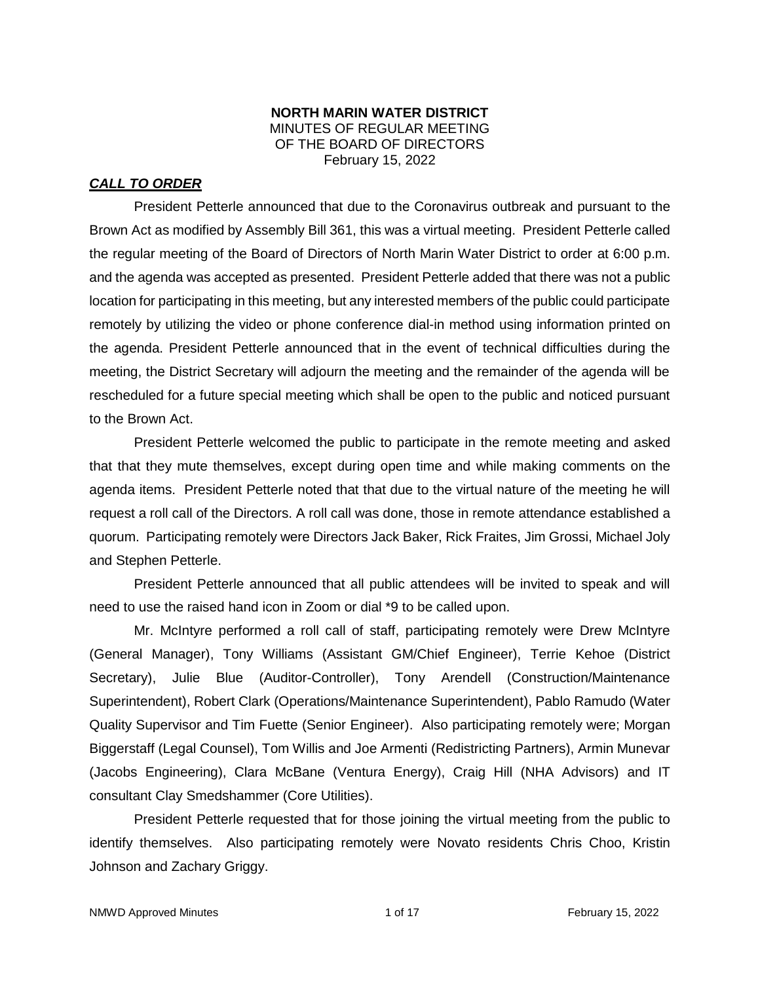### **NORTH MARIN WATER DISTRICT** MINUTES OF REGULAR MEETING OF THE BOARD OF DIRECTORS February 15, 2022

## *CALL TO ORDER*

President Petterle announced that due to the Coronavirus outbreak and pursuant to the Brown Act as modified by Assembly Bill 361, this was a virtual meeting. President Petterle called the regular meeting of the Board of Directors of North Marin Water District to order at 6:00 p.m. and the agenda was accepted as presented. President Petterle added that there was not a public location for participating in this meeting, but any interested members of the public could participate remotely by utilizing the video or phone conference dial-in method using information printed on the agenda. President Petterle announced that in the event of technical difficulties during the meeting, the District Secretary will adjourn the meeting and the remainder of the agenda will be rescheduled for a future special meeting which shall be open to the public and noticed pursuant to the Brown Act.

President Petterle welcomed the public to participate in the remote meeting and asked that that they mute themselves, except during open time and while making comments on the agenda items. President Petterle noted that that due to the virtual nature of the meeting he will request a roll call of the Directors. A roll call was done, those in remote attendance established a quorum. Participating remotely were Directors Jack Baker, Rick Fraites, Jim Grossi, Michael Joly and Stephen Petterle.

President Petterle announced that all public attendees will be invited to speak and will need to use the raised hand icon in Zoom or dial \*9 to be called upon.

Mr. McIntyre performed a roll call of staff, participating remotely were Drew McIntyre (General Manager), Tony Williams (Assistant GM/Chief Engineer), Terrie Kehoe (District Secretary), Julie Blue (Auditor-Controller), Tony Arendell (Construction/Maintenance Superintendent), Robert Clark (Operations/Maintenance Superintendent), Pablo Ramudo (Water Quality Supervisor and Tim Fuette (Senior Engineer). Also participating remotely were; Morgan Biggerstaff (Legal Counsel), Tom Willis and Joe Armenti (Redistricting Partners), Armin Munevar (Jacobs Engineering), Clara McBane (Ventura Energy), Craig Hill (NHA Advisors) and IT consultant Clay Smedshammer (Core Utilities).

President Petterle requested that for those joining the virtual meeting from the public to identify themselves. Also participating remotely were Novato residents Chris Choo, Kristin Johnson and Zachary Griggy.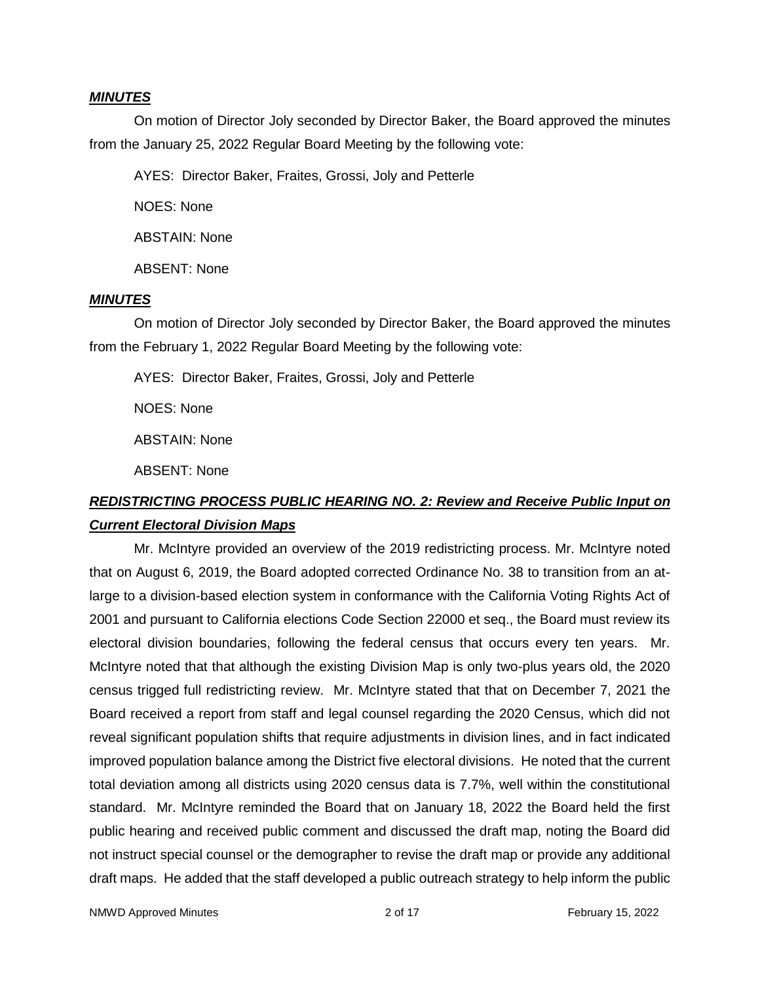#### *MINUTES*

On motion of Director Joly seconded by Director Baker, the Board approved the minutes from the January 25, 2022 Regular Board Meeting by the following vote:

AYES: Director Baker, Fraites, Grossi, Joly and Petterle

NOES: None

ABSTAIN: None

ABSENT: None

### *MINUTES*

On motion of Director Joly seconded by Director Baker, the Board approved the minutes from the February 1, 2022 Regular Board Meeting by the following vote:

AYES: Director Baker, Fraites, Grossi, Joly and Petterle

NOES: None

ABSTAIN: None

ABSENT: None

# *REDISTRICTING PROCESS PUBLIC HEARING NO. 2: Review and Receive Public Input on Current Electoral Division Maps*

Mr. McIntyre provided an overview of the 2019 redistricting process. Mr. McIntyre noted that on August 6, 2019, the Board adopted corrected Ordinance No. 38 to transition from an atlarge to a division-based election system in conformance with the California Voting Rights Act of 2001 and pursuant to California elections Code Section 22000 et seq., the Board must review its electoral division boundaries, following the federal census that occurs every ten years. Mr. McIntyre noted that that although the existing Division Map is only two-plus years old, the 2020 census trigged full redistricting review. Mr. McIntyre stated that that on December 7, 2021 the Board received a report from staff and legal counsel regarding the 2020 Census, which did not reveal significant population shifts that require adjustments in division lines, and in fact indicated improved population balance among the District five electoral divisions. He noted that the current total deviation among all districts using 2020 census data is 7.7%, well within the constitutional standard. Mr. McIntyre reminded the Board that on January 18, 2022 the Board held the first public hearing and received public comment and discussed the draft map, noting the Board did not instruct special counsel or the demographer to revise the draft map or provide any additional draft maps. He added that the staff developed a public outreach strategy to help inform the public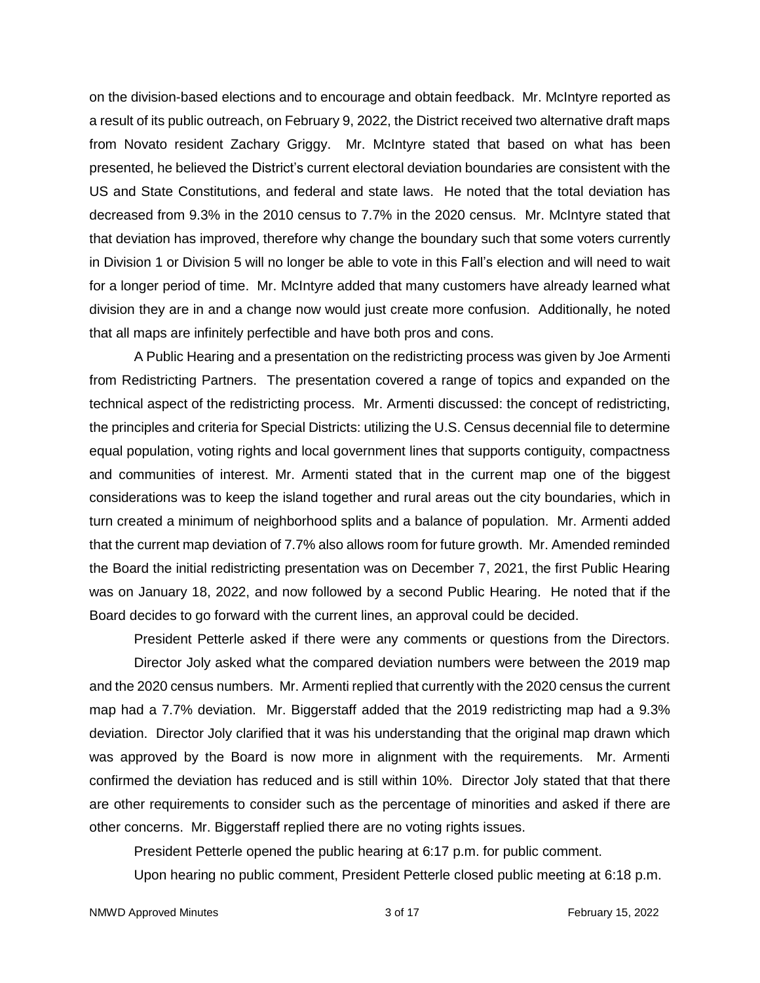on the division-based elections and to encourage and obtain feedback. Mr. McIntyre reported as a result of its public outreach, on February 9, 2022, the District received two alternative draft maps from Novato resident Zachary Griggy. Mr. McIntyre stated that based on what has been presented, he believed the District's current electoral deviation boundaries are consistent with the US and State Constitutions, and federal and state laws. He noted that the total deviation has decreased from 9.3% in the 2010 census to 7.7% in the 2020 census. Mr. McIntyre stated that that deviation has improved, therefore why change the boundary such that some voters currently in Division 1 or Division 5 will no longer be able to vote in this Fall's election and will need to wait for a longer period of time. Mr. McIntyre added that many customers have already learned what division they are in and a change now would just create more confusion. Additionally, he noted that all maps are infinitely perfectible and have both pros and cons.

A Public Hearing and a presentation on the redistricting process was given by Joe Armenti from Redistricting Partners. The presentation covered a range of topics and expanded on the technical aspect of the redistricting process. Mr. Armenti discussed: the concept of redistricting, the principles and criteria for Special Districts: utilizing the U.S. Census decennial file to determine equal population, voting rights and local government lines that supports contiguity, compactness and communities of interest. Mr. Armenti stated that in the current map one of the biggest considerations was to keep the island together and rural areas out the city boundaries, which in turn created a minimum of neighborhood splits and a balance of population. Mr. Armenti added that the current map deviation of 7.7% also allows room for future growth. Mr. Amended reminded the Board the initial redistricting presentation was on December 7, 2021, the first Public Hearing was on January 18, 2022, and now followed by a second Public Hearing. He noted that if the Board decides to go forward with the current lines, an approval could be decided.

President Petterle asked if there were any comments or questions from the Directors. Director Joly asked what the compared deviation numbers were between the 2019 map and the 2020 census numbers. Mr. Armenti replied that currently with the 2020 census the current map had a 7.7% deviation. Mr. Biggerstaff added that the 2019 redistricting map had a 9.3% deviation. Director Joly clarified that it was his understanding that the original map drawn which was approved by the Board is now more in alignment with the requirements. Mr. Armenti confirmed the deviation has reduced and is still within 10%. Director Joly stated that that there are other requirements to consider such as the percentage of minorities and asked if there are other concerns. Mr. Biggerstaff replied there are no voting rights issues.

President Petterle opened the public hearing at 6:17 p.m. for public comment.

Upon hearing no public comment, President Petterle closed public meeting at 6:18 p.m.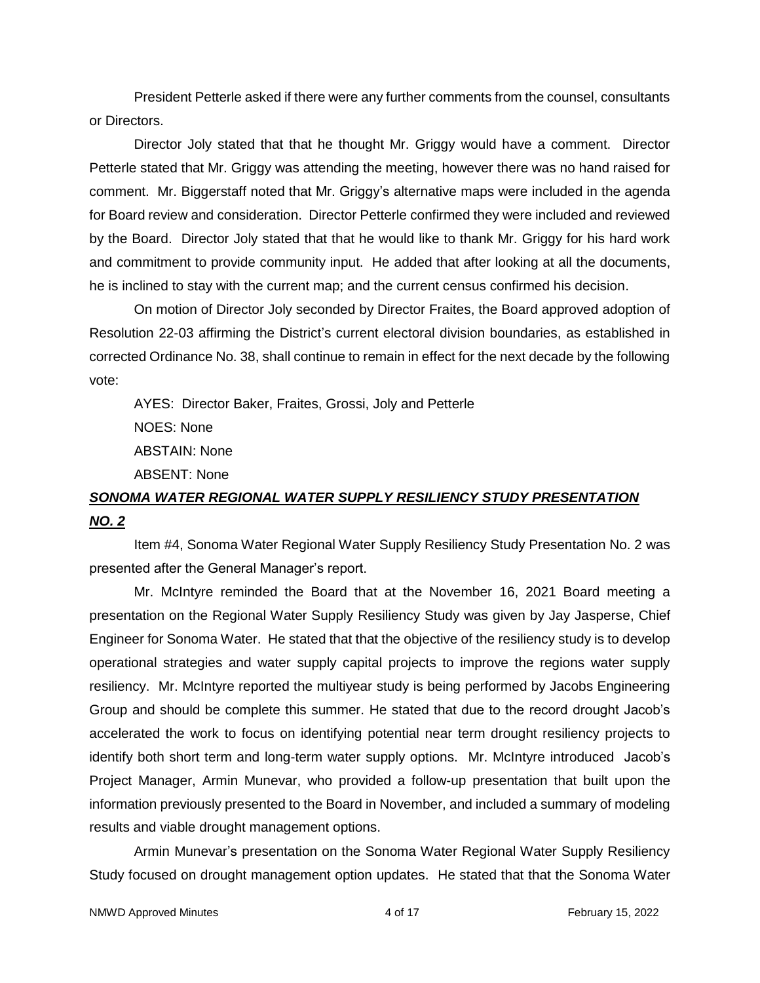President Petterle asked if there were any further comments from the counsel, consultants or Directors.

Director Joly stated that that he thought Mr. Griggy would have a comment. Director Petterle stated that Mr. Griggy was attending the meeting, however there was no hand raised for comment. Mr. Biggerstaff noted that Mr. Griggy's alternative maps were included in the agenda for Board review and consideration. Director Petterle confirmed they were included and reviewed by the Board. Director Joly stated that that he would like to thank Mr. Griggy for his hard work and commitment to provide community input. He added that after looking at all the documents, he is inclined to stay with the current map; and the current census confirmed his decision.

On motion of Director Joly seconded by Director Fraites, the Board approved adoption of Resolution 22-03 affirming the District's current electoral division boundaries, as established in corrected Ordinance No. 38, shall continue to remain in effect for the next decade by the following vote:

AYES: Director Baker, Fraites, Grossi, Joly and Petterle NOES: None ABSTAIN: None ABSENT: None

# *SONOMA WATER REGIONAL WATER SUPPLY RESILIENCY STUDY PRESENTATION NO. 2*

Item #4, Sonoma Water Regional Water Supply Resiliency Study Presentation No. 2 was presented after the General Manager's report.

Mr. McIntyre reminded the Board that at the November 16, 2021 Board meeting a presentation on the Regional Water Supply Resiliency Study was given by Jay Jasperse, Chief Engineer for Sonoma Water. He stated that that the objective of the resiliency study is to develop operational strategies and water supply capital projects to improve the regions water supply resiliency. Mr. McIntyre reported the multiyear study is being performed by Jacobs Engineering Group and should be complete this summer. He stated that due to the record drought Jacob's accelerated the work to focus on identifying potential near term drought resiliency projects to identify both short term and long-term water supply options. Mr. McIntyre introduced Jacob's Project Manager, Armin Munevar, who provided a follow-up presentation that built upon the information previously presented to the Board in November, and included a summary of modeling results and viable drought management options.

Armin Munevar's presentation on the Sonoma Water Regional Water Supply Resiliency Study focused on drought management option updates. He stated that that the Sonoma Water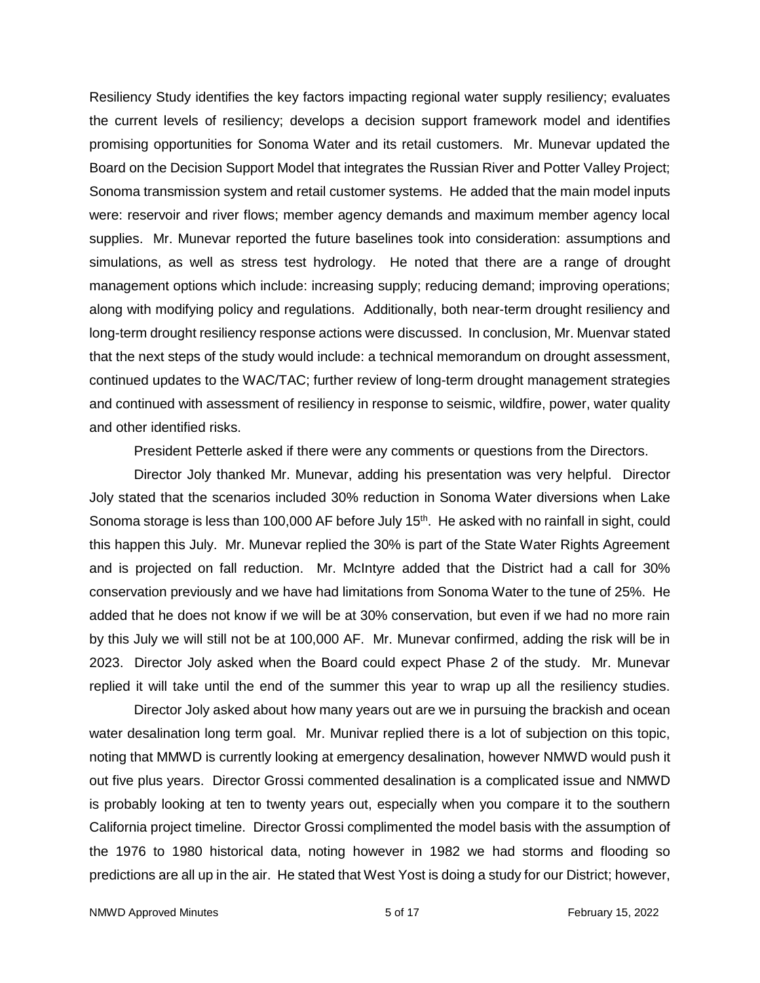Resiliency Study identifies the key factors impacting regional water supply resiliency; evaluates the current levels of resiliency; develops a decision support framework model and identifies promising opportunities for Sonoma Water and its retail customers. Mr. Munevar updated the Board on the Decision Support Model that integrates the Russian River and Potter Valley Project; Sonoma transmission system and retail customer systems. He added that the main model inputs were: reservoir and river flows; member agency demands and maximum member agency local supplies. Mr. Munevar reported the future baselines took into consideration: assumptions and simulations, as well as stress test hydrology. He noted that there are a range of drought management options which include: increasing supply; reducing demand; improving operations; along with modifying policy and regulations. Additionally, both near-term drought resiliency and long-term drought resiliency response actions were discussed. In conclusion, Mr. Muenvar stated that the next steps of the study would include: a technical memorandum on drought assessment, continued updates to the WAC/TAC; further review of long-term drought management strategies and continued with assessment of resiliency in response to seismic, wildfire, power, water quality and other identified risks.

President Petterle asked if there were any comments or questions from the Directors.

Director Joly thanked Mr. Munevar, adding his presentation was very helpful. Director Joly stated that the scenarios included 30% reduction in Sonoma Water diversions when Lake Sonoma storage is less than 100,000 AF before July  $15<sup>th</sup>$ . He asked with no rainfall in sight, could this happen this July. Mr. Munevar replied the 30% is part of the State Water Rights Agreement and is projected on fall reduction. Mr. McIntyre added that the District had a call for 30% conservation previously and we have had limitations from Sonoma Water to the tune of 25%. He added that he does not know if we will be at 30% conservation, but even if we had no more rain by this July we will still not be at 100,000 AF. Mr. Munevar confirmed, adding the risk will be in 2023. Director Joly asked when the Board could expect Phase 2 of the study. Mr. Munevar replied it will take until the end of the summer this year to wrap up all the resiliency studies.

Director Joly asked about how many years out are we in pursuing the brackish and ocean water desalination long term goal. Mr. Munivar replied there is a lot of subjection on this topic, noting that MMWD is currently looking at emergency desalination, however NMWD would push it out five plus years. Director Grossi commented desalination is a complicated issue and NMWD is probably looking at ten to twenty years out, especially when you compare it to the southern California project timeline. Director Grossi complimented the model basis with the assumption of the 1976 to 1980 historical data, noting however in 1982 we had storms and flooding so predictions are all up in the air. He stated that West Yost is doing a study for our District; however,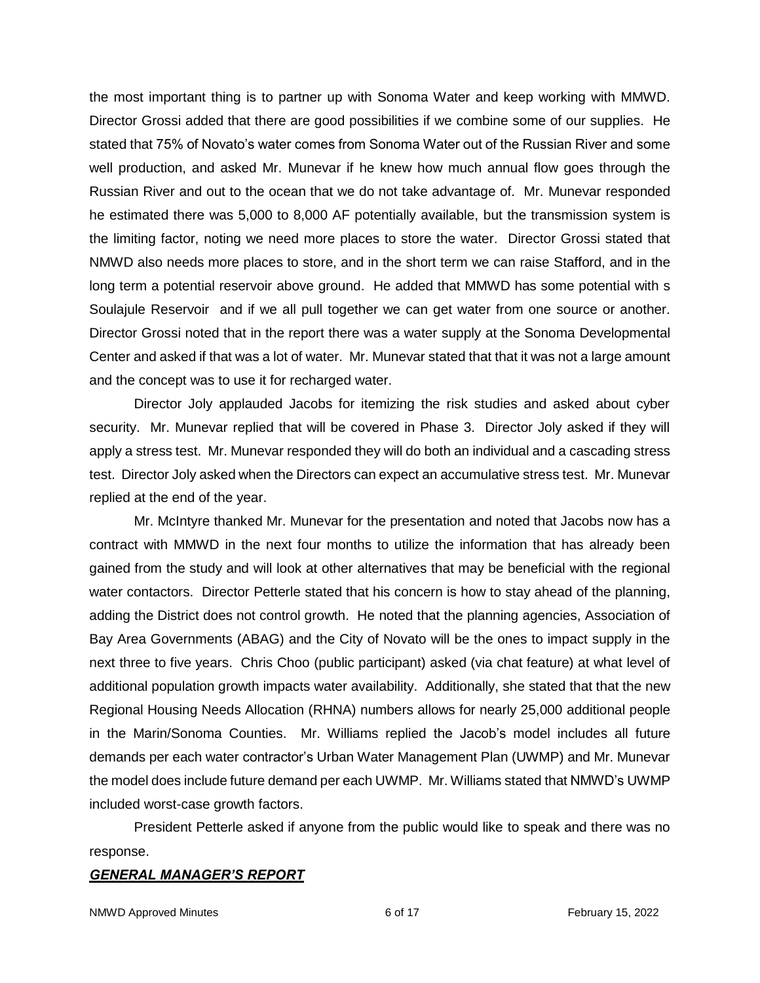the most important thing is to partner up with Sonoma Water and keep working with MMWD. Director Grossi added that there are good possibilities if we combine some of our supplies. He stated that 75% of Novato's water comes from Sonoma Water out of the Russian River and some well production, and asked Mr. Munevar if he knew how much annual flow goes through the Russian River and out to the ocean that we do not take advantage of. Mr. Munevar responded he estimated there was 5,000 to 8,000 AF potentially available, but the transmission system is the limiting factor, noting we need more places to store the water. Director Grossi stated that NMWD also needs more places to store, and in the short term we can raise Stafford, and in the long term a potential reservoir above ground. He added that MMWD has some potential with s Soulajule Reservoir and if we all pull together we can get water from one source or another. Director Grossi noted that in the report there was a water supply at the Sonoma Developmental Center and asked if that was a lot of water. Mr. Munevar stated that that it was not a large amount and the concept was to use it for recharged water.

Director Joly applauded Jacobs for itemizing the risk studies and asked about cyber security. Mr. Munevar replied that will be covered in Phase 3. Director Joly asked if they will apply a stress test. Mr. Munevar responded they will do both an individual and a cascading stress test. Director Joly asked when the Directors can expect an accumulative stress test. Mr. Munevar replied at the end of the year.

Mr. McIntyre thanked Mr. Munevar for the presentation and noted that Jacobs now has a contract with MMWD in the next four months to utilize the information that has already been gained from the study and will look at other alternatives that may be beneficial with the regional water contactors. Director Petterle stated that his concern is how to stay ahead of the planning, adding the District does not control growth. He noted that the planning agencies, Association of Bay Area Governments (ABAG) and the City of Novato will be the ones to impact supply in the next three to five years. Chris Choo (public participant) asked (via chat feature) at what level of additional population growth impacts water availability. Additionally, she stated that that the new Regional Housing Needs Allocation (RHNA) numbers allows for nearly 25,000 additional people in the Marin/Sonoma Counties. Mr. Williams replied the Jacob's model includes all future demands per each water contractor's Urban Water Management Plan (UWMP) and Mr. Munevar the model does include future demand per each UWMP. Mr. Williams stated that NMWD's UWMP included worst-case growth factors.

President Petterle asked if anyone from the public would like to speak and there was no response.

#### *GENERAL MANAGER'S REPORT*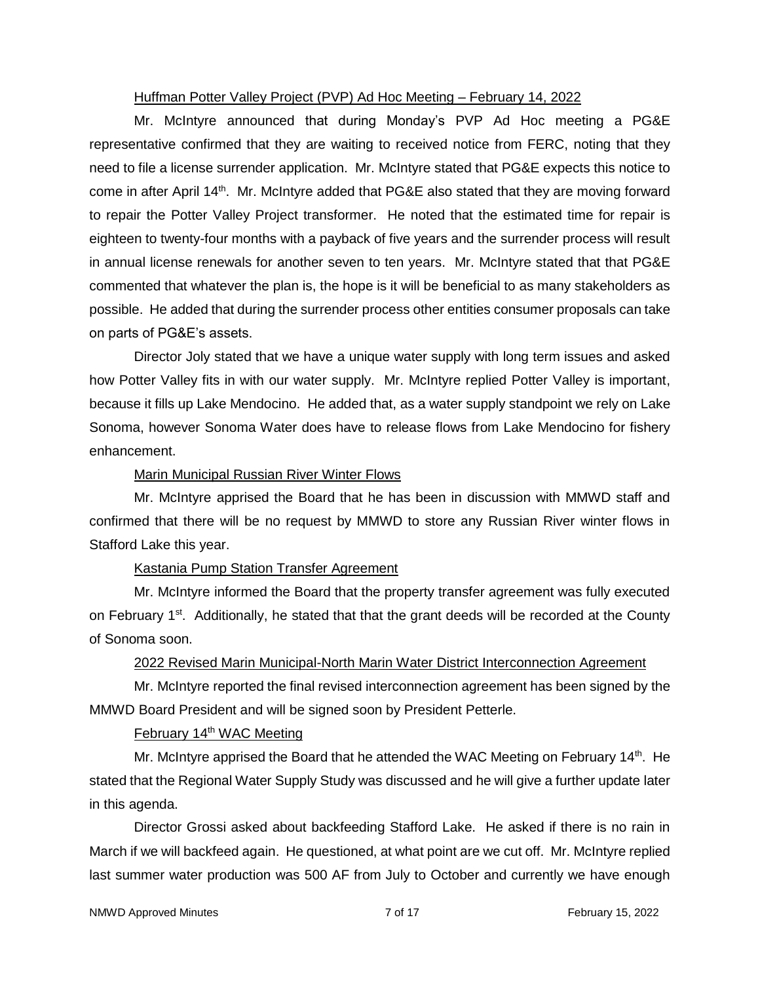### Huffman Potter Valley Project (PVP) Ad Hoc Meeting – February 14, 2022

Mr. McIntyre announced that during Monday's PVP Ad Hoc meeting a PG&E representative confirmed that they are waiting to received notice from FERC, noting that they need to file a license surrender application. Mr. McIntyre stated that PG&E expects this notice to come in after April 14<sup>th</sup>. Mr. McIntyre added that PG&E also stated that they are moving forward to repair the Potter Valley Project transformer. He noted that the estimated time for repair is eighteen to twenty-four months with a payback of five years and the surrender process will result in annual license renewals for another seven to ten years. Mr. McIntyre stated that that PG&E commented that whatever the plan is, the hope is it will be beneficial to as many stakeholders as possible. He added that during the surrender process other entities consumer proposals can take on parts of PG&E's assets.

Director Joly stated that we have a unique water supply with long term issues and asked how Potter Valley fits in with our water supply. Mr. McIntyre replied Potter Valley is important, because it fills up Lake Mendocino. He added that, as a water supply standpoint we rely on Lake Sonoma, however Sonoma Water does have to release flows from Lake Mendocino for fishery enhancement.

## Marin Municipal Russian River Winter Flows

Mr. McIntyre apprised the Board that he has been in discussion with MMWD staff and confirmed that there will be no request by MMWD to store any Russian River winter flows in Stafford Lake this year.

## Kastania Pump Station Transfer Agreement

Mr. McIntyre informed the Board that the property transfer agreement was fully executed on February 1<sup>st</sup>. Additionally, he stated that that the grant deeds will be recorded at the County of Sonoma soon.

## 2022 Revised Marin Municipal-North Marin Water District Interconnection Agreement

Mr. McIntyre reported the final revised interconnection agreement has been signed by the MMWD Board President and will be signed soon by President Petterle.

## February 14<sup>th</sup> WAC Meeting

Mr. McIntyre apprised the Board that he attended the WAC Meeting on February  $14<sup>th</sup>$ . He stated that the Regional Water Supply Study was discussed and he will give a further update later in this agenda.

Director Grossi asked about backfeeding Stafford Lake. He asked if there is no rain in March if we will backfeed again. He questioned, at what point are we cut off. Mr. McIntyre replied last summer water production was 500 AF from July to October and currently we have enough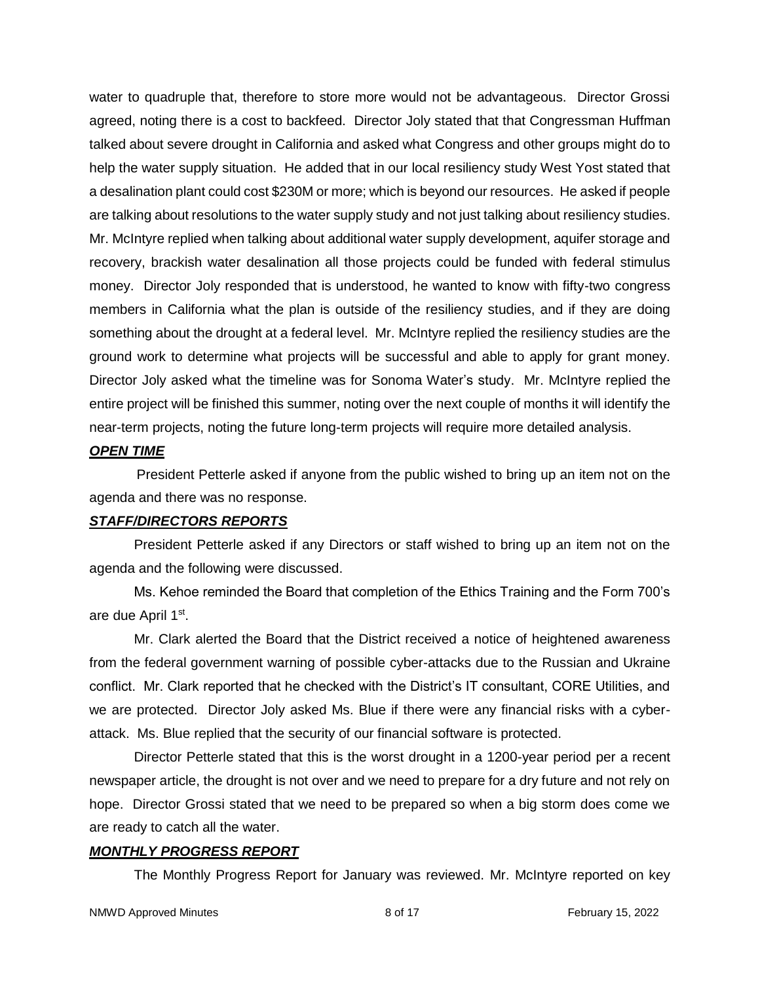water to quadruple that, therefore to store more would not be advantageous. Director Grossi agreed, noting there is a cost to backfeed. Director Joly stated that that Congressman Huffman talked about severe drought in California and asked what Congress and other groups might do to help the water supply situation. He added that in our local resiliency study West Yost stated that a desalination plant could cost \$230M or more; which is beyond our resources. He asked if people are talking about resolutions to the water supply study and not just talking about resiliency studies. Mr. McIntyre replied when talking about additional water supply development, aquifer storage and recovery, brackish water desalination all those projects could be funded with federal stimulus money. Director Joly responded that is understood, he wanted to know with fifty-two congress members in California what the plan is outside of the resiliency studies, and if they are doing something about the drought at a federal level. Mr. McIntyre replied the resiliency studies are the ground work to determine what projects will be successful and able to apply for grant money. Director Joly asked what the timeline was for Sonoma Water's study. Mr. McIntyre replied the entire project will be finished this summer, noting over the next couple of months it will identify the near-term projects, noting the future long-term projects will require more detailed analysis.

### *OPEN TIME*

President Petterle asked if anyone from the public wished to bring up an item not on the agenda and there was no response.

#### *STAFF/DIRECTORS REPORTS*

President Petterle asked if any Directors or staff wished to bring up an item not on the agenda and the following were discussed.

Ms. Kehoe reminded the Board that completion of the Ethics Training and the Form 700's are due April 1<sup>st</sup>.

Mr. Clark alerted the Board that the District received a notice of heightened awareness from the federal government warning of possible cyber-attacks due to the Russian and Ukraine conflict. Mr. Clark reported that he checked with the District's IT consultant, CORE Utilities, and we are protected. Director Joly asked Ms. Blue if there were any financial risks with a cyberattack. Ms. Blue replied that the security of our financial software is protected.

Director Petterle stated that this is the worst drought in a 1200-year period per a recent newspaper article, the drought is not over and we need to prepare for a dry future and not rely on hope. Director Grossi stated that we need to be prepared so when a big storm does come we are ready to catch all the water.

## *MONTHLY PROGRESS REPORT*

The Monthly Progress Report for January was reviewed. Mr. McIntyre reported on key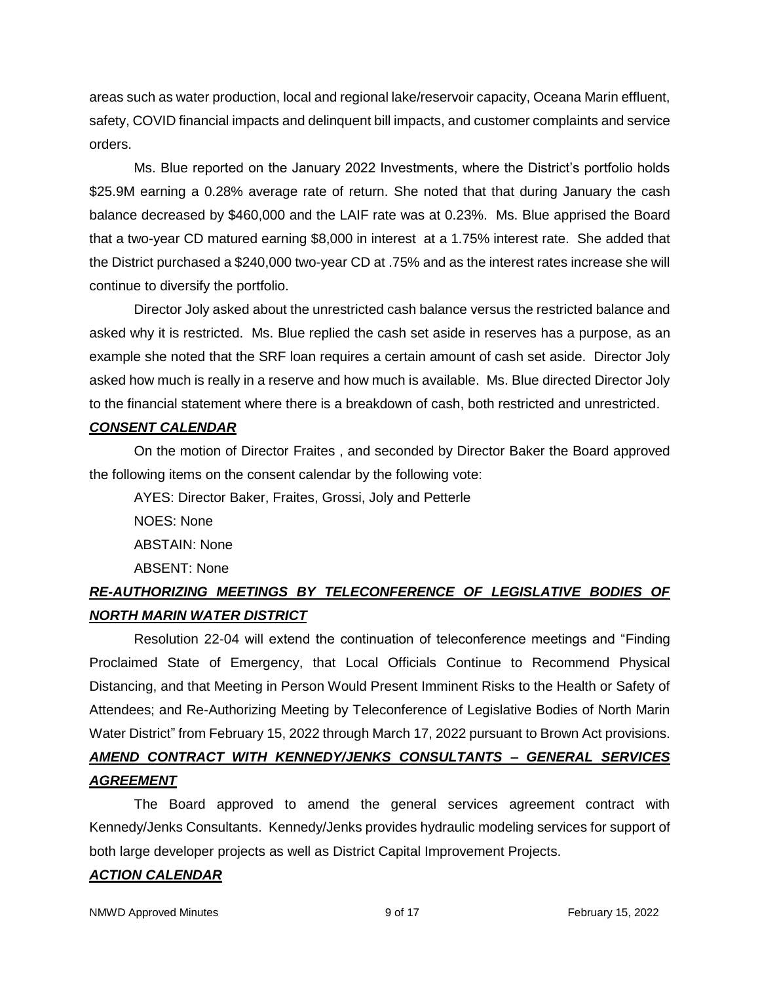areas such as water production, local and regional lake/reservoir capacity, Oceana Marin effluent, safety, COVID financial impacts and delinquent bill impacts, and customer complaints and service orders.

Ms. Blue reported on the January 2022 Investments, where the District's portfolio holds \$25.9M earning a 0.28% average rate of return. She noted that that during January the cash balance decreased by \$460,000 and the LAIF rate was at 0.23%. Ms. Blue apprised the Board that a two-year CD matured earning \$8,000 in interest at a 1.75% interest rate. She added that the District purchased a \$240,000 two-year CD at .75% and as the interest rates increase she will continue to diversify the portfolio.

Director Joly asked about the unrestricted cash balance versus the restricted balance and asked why it is restricted. Ms. Blue replied the cash set aside in reserves has a purpose, as an example she noted that the SRF loan requires a certain amount of cash set aside. Director Joly asked how much is really in a reserve and how much is available. Ms. Blue directed Director Joly to the financial statement where there is a breakdown of cash, both restricted and unrestricted.

#### *CONSENT CALENDAR*

On the motion of Director Fraites , and seconded by Director Baker the Board approved the following items on the consent calendar by the following vote:

AYES: Director Baker, Fraites, Grossi, Joly and Petterle NOES: None ABSTAIN: None ABSENT: None

## *RE-AUTHORIZING MEETINGS BY TELECONFERENCE OF LEGISLATIVE BODIES OF NORTH MARIN WATER DISTRICT*

Resolution 22-04 will extend the continuation of teleconference meetings and "Finding Proclaimed State of Emergency, that Local Officials Continue to Recommend Physical Distancing, and that Meeting in Person Would Present Imminent Risks to the Health or Safety of Attendees; and Re-Authorizing Meeting by Teleconference of Legislative Bodies of North Marin Water District" from February 15, 2022 through March 17, 2022 pursuant to Brown Act provisions. *AMEND CONTRACT WITH KENNEDY/JENKS CONSULTANTS – GENERAL SERVICES AGREEMENT*

The Board approved to amend the general services agreement contract with Kennedy/Jenks Consultants. Kennedy/Jenks provides hydraulic modeling services for support of both large developer projects as well as District Capital Improvement Projects.

## *ACTION CALENDAR*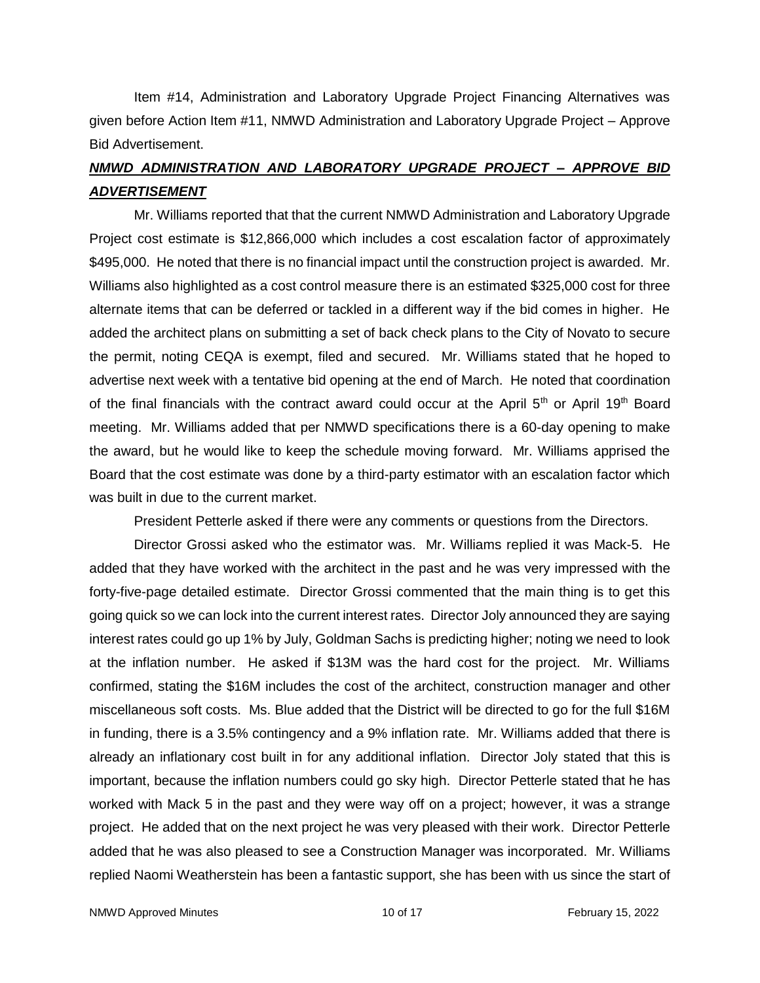Item #14, Administration and Laboratory Upgrade Project Financing Alternatives was given before Action Item #11, NMWD Administration and Laboratory Upgrade Project – Approve Bid Advertisement.

# *NMWD ADMINISTRATION AND LABORATORY UPGRADE PROJECT – APPROVE BID ADVERTISEMENT*

Mr. Williams reported that that the current NMWD Administration and Laboratory Upgrade Project cost estimate is \$12,866,000 which includes a cost escalation factor of approximately \$495,000. He noted that there is no financial impact until the construction project is awarded. Mr. Williams also highlighted as a cost control measure there is an estimated \$325,000 cost for three alternate items that can be deferred or tackled in a different way if the bid comes in higher. He added the architect plans on submitting a set of back check plans to the City of Novato to secure the permit, noting CEQA is exempt, filed and secured. Mr. Williams stated that he hoped to advertise next week with a tentative bid opening at the end of March. He noted that coordination of the final financials with the contract award could occur at the April 5<sup>th</sup> or April 19<sup>th</sup> Board meeting. Mr. Williams added that per NMWD specifications there is a 60-day opening to make the award, but he would like to keep the schedule moving forward. Mr. Williams apprised the Board that the cost estimate was done by a third-party estimator with an escalation factor which was built in due to the current market.

President Petterle asked if there were any comments or questions from the Directors.

Director Grossi asked who the estimator was. Mr. Williams replied it was Mack-5. He added that they have worked with the architect in the past and he was very impressed with the forty-five-page detailed estimate. Director Grossi commented that the main thing is to get this going quick so we can lock into the current interest rates. Director Joly announced they are saying interest rates could go up 1% by July, Goldman Sachs is predicting higher; noting we need to look at the inflation number. He asked if \$13M was the hard cost for the project. Mr. Williams confirmed, stating the \$16M includes the cost of the architect, construction manager and other miscellaneous soft costs. Ms. Blue added that the District will be directed to go for the full \$16M in funding, there is a 3.5% contingency and a 9% inflation rate. Mr. Williams added that there is already an inflationary cost built in for any additional inflation. Director Joly stated that this is important, because the inflation numbers could go sky high. Director Petterle stated that he has worked with Mack 5 in the past and they were way off on a project; however, it was a strange project. He added that on the next project he was very pleased with their work. Director Petterle added that he was also pleased to see a Construction Manager was incorporated. Mr. Williams replied Naomi Weatherstein has been a fantastic support, she has been with us since the start of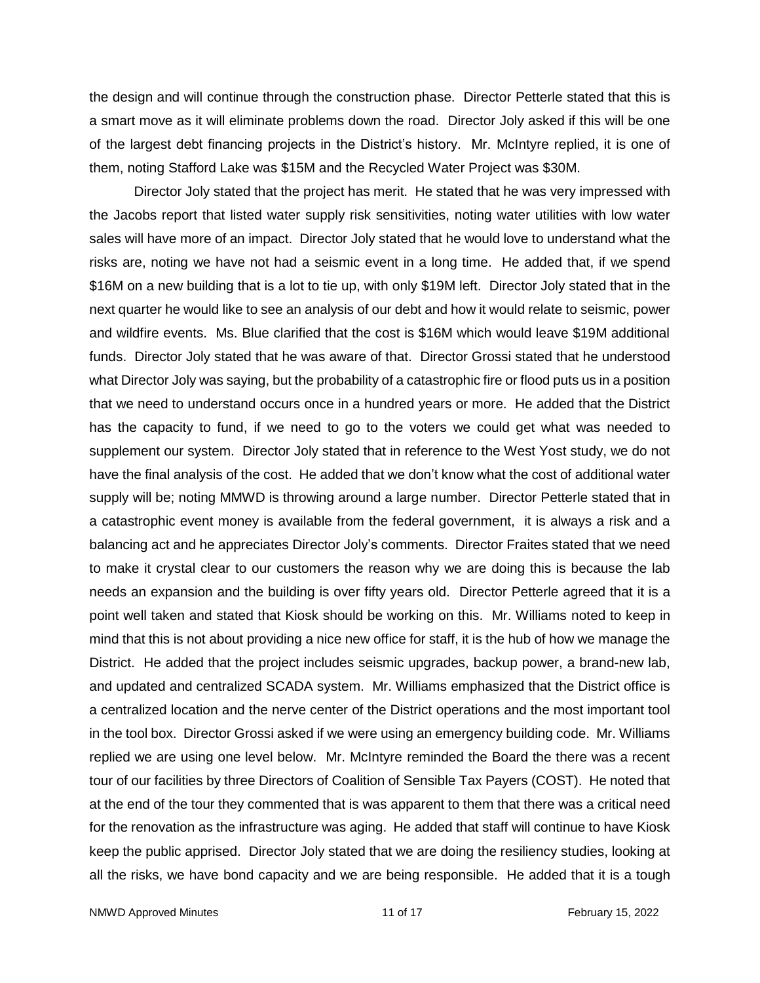the design and will continue through the construction phase. Director Petterle stated that this is a smart move as it will eliminate problems down the road. Director Joly asked if this will be one of the largest debt financing projects in the District's history. Mr. McIntyre replied, it is one of them, noting Stafford Lake was \$15M and the Recycled Water Project was \$30M.

Director Joly stated that the project has merit. He stated that he was very impressed with the Jacobs report that listed water supply risk sensitivities, noting water utilities with low water sales will have more of an impact. Director Joly stated that he would love to understand what the risks are, noting we have not had a seismic event in a long time. He added that, if we spend \$16M on a new building that is a lot to tie up, with only \$19M left. Director Joly stated that in the next quarter he would like to see an analysis of our debt and how it would relate to seismic, power and wildfire events. Ms. Blue clarified that the cost is \$16M which would leave \$19M additional funds. Director Joly stated that he was aware of that. Director Grossi stated that he understood what Director Joly was saying, but the probability of a catastrophic fire or flood puts us in a position that we need to understand occurs once in a hundred years or more. He added that the District has the capacity to fund, if we need to go to the voters we could get what was needed to supplement our system. Director Joly stated that in reference to the West Yost study, we do not have the final analysis of the cost. He added that we don't know what the cost of additional water supply will be; noting MMWD is throwing around a large number. Director Petterle stated that in a catastrophic event money is available from the federal government, it is always a risk and a balancing act and he appreciates Director Joly's comments. Director Fraites stated that we need to make it crystal clear to our customers the reason why we are doing this is because the lab needs an expansion and the building is over fifty years old. Director Petterle agreed that it is a point well taken and stated that Kiosk should be working on this. Mr. Williams noted to keep in mind that this is not about providing a nice new office for staff, it is the hub of how we manage the District. He added that the project includes seismic upgrades, backup power, a brand-new lab, and updated and centralized SCADA system. Mr. Williams emphasized that the District office is a centralized location and the nerve center of the District operations and the most important tool in the tool box. Director Grossi asked if we were using an emergency building code. Mr. Williams replied we are using one level below. Mr. McIntyre reminded the Board the there was a recent tour of our facilities by three Directors of Coalition of Sensible Tax Payers (COST). He noted that at the end of the tour they commented that is was apparent to them that there was a critical need for the renovation as the infrastructure was aging. He added that staff will continue to have Kiosk keep the public apprised. Director Joly stated that we are doing the resiliency studies, looking at all the risks, we have bond capacity and we are being responsible. He added that it is a tough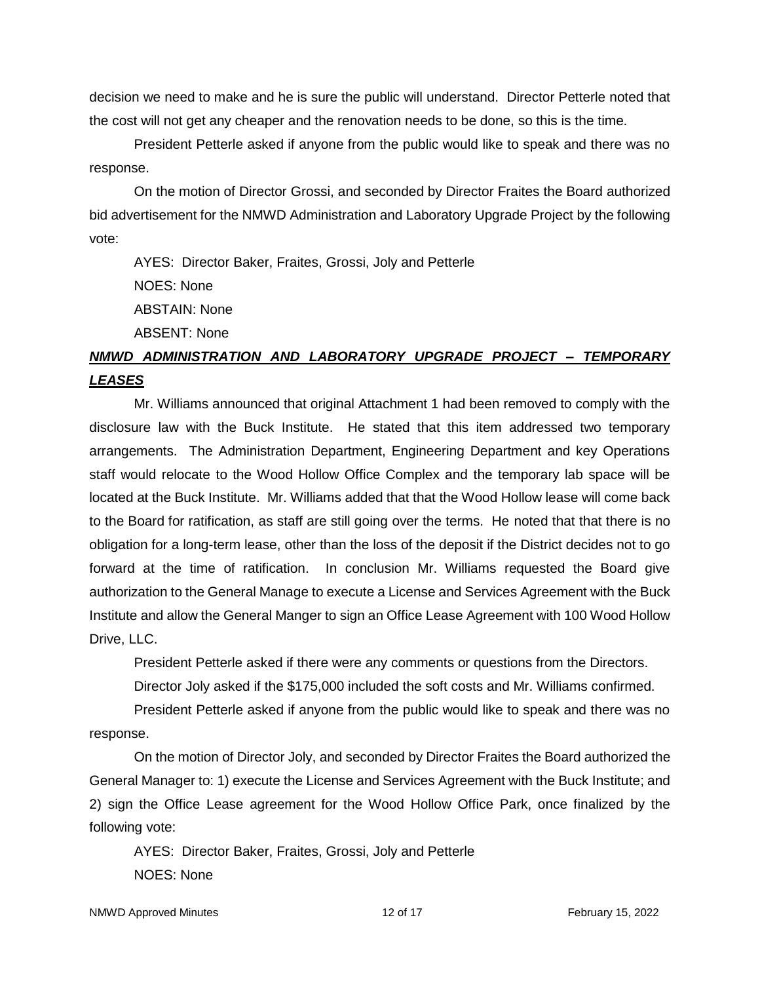decision we need to make and he is sure the public will understand. Director Petterle noted that the cost will not get any cheaper and the renovation needs to be done, so this is the time.

President Petterle asked if anyone from the public would like to speak and there was no response.

On the motion of Director Grossi, and seconded by Director Fraites the Board authorized bid advertisement for the NMWD Administration and Laboratory Upgrade Project by the following vote:

AYES: Director Baker, Fraites, Grossi, Joly and Petterle

NOES: None

ABSTAIN: None

ABSENT: None

# *NMWD ADMINISTRATION AND LABORATORY UPGRADE PROJECT – TEMPORARY LEASES*

Mr. Williams announced that original Attachment 1 had been removed to comply with the disclosure law with the Buck Institute. He stated that this item addressed two temporary arrangements. The Administration Department, Engineering Department and key Operations staff would relocate to the Wood Hollow Office Complex and the temporary lab space will be located at the Buck Institute. Mr. Williams added that that the Wood Hollow lease will come back to the Board for ratification, as staff are still going over the terms. He noted that that there is no obligation for a long-term lease, other than the loss of the deposit if the District decides not to go forward at the time of ratification. In conclusion Mr. Williams requested the Board give authorization to the General Manage to execute a License and Services Agreement with the Buck Institute and allow the General Manger to sign an Office Lease Agreement with 100 Wood Hollow Drive, LLC.

President Petterle asked if there were any comments or questions from the Directors.

Director Joly asked if the \$175,000 included the soft costs and Mr. Williams confirmed.

President Petterle asked if anyone from the public would like to speak and there was no response.

On the motion of Director Joly, and seconded by Director Fraites the Board authorized the General Manager to: 1) execute the License and Services Agreement with the Buck Institute; and 2) sign the Office Lease agreement for the Wood Hollow Office Park, once finalized by the following vote:

AYES: Director Baker, Fraites, Grossi, Joly and Petterle NOES: None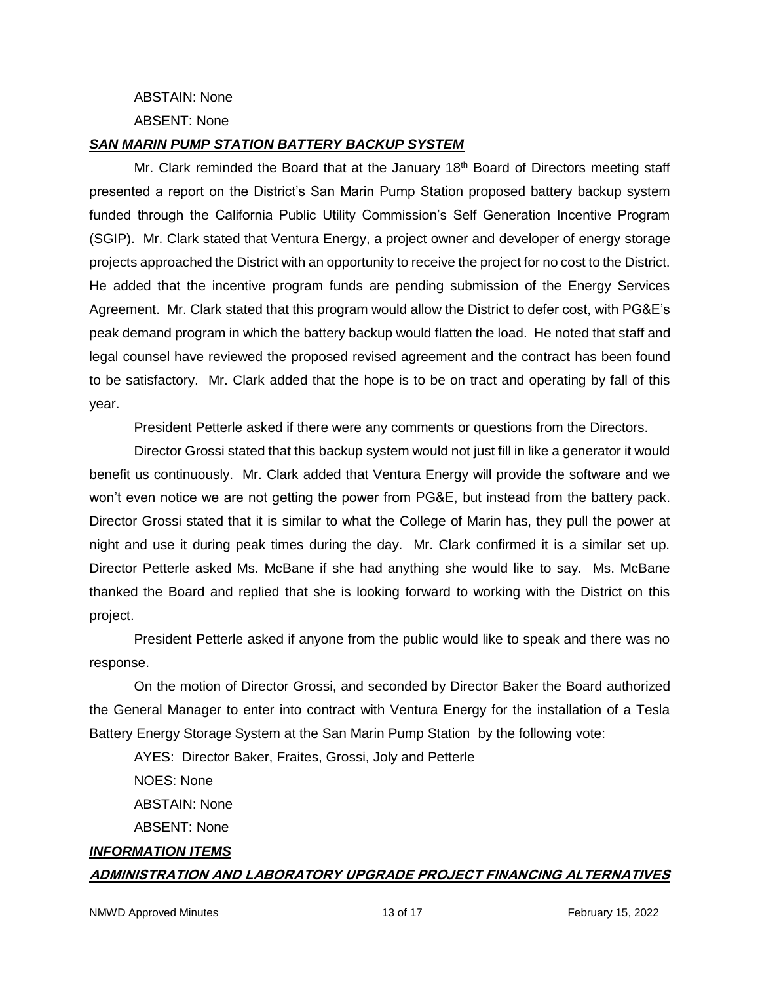ABSTAIN: None

ABSENT: None

#### *SAN MARIN PUMP STATION BATTERY BACKUP SYSTEM*

Mr. Clark reminded the Board that at the January  $18<sup>th</sup>$  Board of Directors meeting staff presented a report on the District's San Marin Pump Station proposed battery backup system funded through the California Public Utility Commission's Self Generation Incentive Program (SGIP). Mr. Clark stated that Ventura Energy, a project owner and developer of energy storage projects approached the District with an opportunity to receive the project for no cost to the District. He added that the incentive program funds are pending submission of the Energy Services Agreement. Mr. Clark stated that this program would allow the District to defer cost, with PG&E's peak demand program in which the battery backup would flatten the load. He noted that staff and legal counsel have reviewed the proposed revised agreement and the contract has been found to be satisfactory. Mr. Clark added that the hope is to be on tract and operating by fall of this year.

President Petterle asked if there were any comments or questions from the Directors.

Director Grossi stated that this backup system would not just fill in like a generator it would benefit us continuously. Mr. Clark added that Ventura Energy will provide the software and we won't even notice we are not getting the power from PG&E, but instead from the battery pack. Director Grossi stated that it is similar to what the College of Marin has, they pull the power at night and use it during peak times during the day. Mr. Clark confirmed it is a similar set up. Director Petterle asked Ms. McBane if she had anything she would like to say. Ms. McBane thanked the Board and replied that she is looking forward to working with the District on this project.

President Petterle asked if anyone from the public would like to speak and there was no response.

On the motion of Director Grossi, and seconded by Director Baker the Board authorized the General Manager to enter into contract with Ventura Energy for the installation of a Tesla Battery Energy Storage System at the San Marin Pump Station by the following vote:

AYES: Director Baker, Fraites, Grossi, Joly and Petterle NOES: None ABSTAIN: None ABSENT: None *INFORMATION ITEMS*

#### **ADMINISTRATION AND LABORATORY UPGRADE PROJECT FINANCING ALTERNATIVES**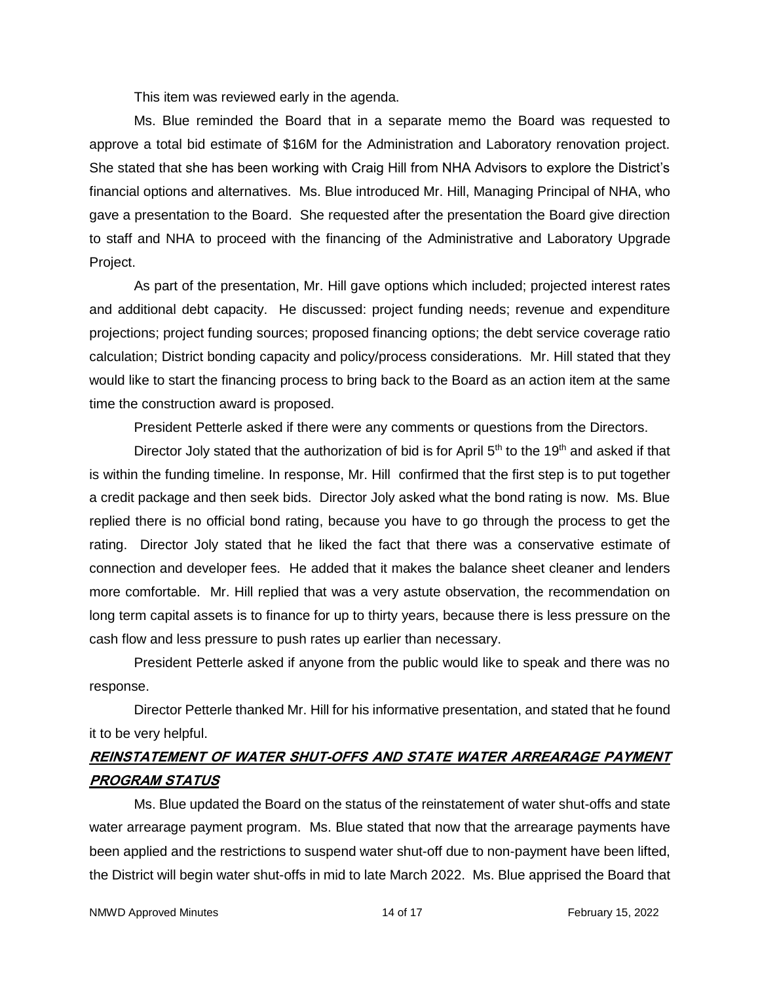This item was reviewed early in the agenda.

Ms. Blue reminded the Board that in a separate memo the Board was requested to approve a total bid estimate of \$16M for the Administration and Laboratory renovation project. She stated that she has been working with Craig Hill from NHA Advisors to explore the District's financial options and alternatives. Ms. Blue introduced Mr. Hill, Managing Principal of NHA, who gave a presentation to the Board. She requested after the presentation the Board give direction to staff and NHA to proceed with the financing of the Administrative and Laboratory Upgrade Project.

As part of the presentation, Mr. Hill gave options which included; projected interest rates and additional debt capacity. He discussed: project funding needs; revenue and expenditure projections; project funding sources; proposed financing options; the debt service coverage ratio calculation; District bonding capacity and policy/process considerations. Mr. Hill stated that they would like to start the financing process to bring back to the Board as an action item at the same time the construction award is proposed.

President Petterle asked if there were any comments or questions from the Directors.

Director Joly stated that the authorization of bid is for April  $5<sup>th</sup>$  to the 19<sup>th</sup> and asked if that is within the funding timeline. In response, Mr. Hill confirmed that the first step is to put together a credit package and then seek bids. Director Joly asked what the bond rating is now. Ms. Blue replied there is no official bond rating, because you have to go through the process to get the rating. Director Joly stated that he liked the fact that there was a conservative estimate of connection and developer fees. He added that it makes the balance sheet cleaner and lenders more comfortable. Mr. Hill replied that was a very astute observation, the recommendation on long term capital assets is to finance for up to thirty years, because there is less pressure on the cash flow and less pressure to push rates up earlier than necessary.

President Petterle asked if anyone from the public would like to speak and there was no response.

Director Petterle thanked Mr. Hill for his informative presentation, and stated that he found it to be very helpful.

# **REINSTATEMENT OF WATER SHUT-OFFS AND STATE WATER ARREARAGE PAYMENT PROGRAM STATUS**

Ms. Blue updated the Board on the status of the reinstatement of water shut-offs and state water arrearage payment program. Ms. Blue stated that now that the arrearage payments have been applied and the restrictions to suspend water shut-off due to non-payment have been lifted, the District will begin water shut-offs in mid to late March 2022. Ms. Blue apprised the Board that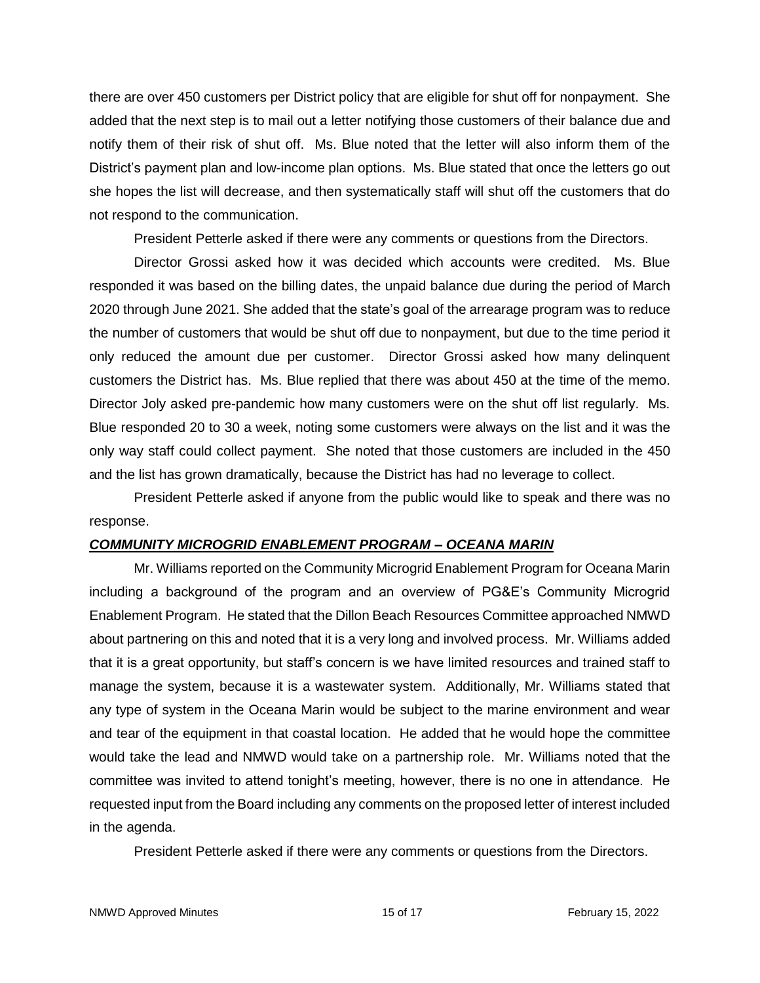there are over 450 customers per District policy that are eligible for shut off for nonpayment. She added that the next step is to mail out a letter notifying those customers of their balance due and notify them of their risk of shut off. Ms. Blue noted that the letter will also inform them of the District's payment plan and low-income plan options. Ms. Blue stated that once the letters go out she hopes the list will decrease, and then systematically staff will shut off the customers that do not respond to the communication.

President Petterle asked if there were any comments or questions from the Directors.

Director Grossi asked how it was decided which accounts were credited. Ms. Blue responded it was based on the billing dates, the unpaid balance due during the period of March 2020 through June 2021. She added that the state's goal of the arrearage program was to reduce the number of customers that would be shut off due to nonpayment, but due to the time period it only reduced the amount due per customer. Director Grossi asked how many delinquent customers the District has. Ms. Blue replied that there was about 450 at the time of the memo. Director Joly asked pre-pandemic how many customers were on the shut off list regularly. Ms. Blue responded 20 to 30 a week, noting some customers were always on the list and it was the only way staff could collect payment. She noted that those customers are included in the 450 and the list has grown dramatically, because the District has had no leverage to collect.

President Petterle asked if anyone from the public would like to speak and there was no response.

## *COMMUNITY MICROGRID ENABLEMENT PROGRAM – OCEANA MARIN*

Mr. Williams reported on the Community Microgrid Enablement Program for Oceana Marin including a background of the program and an overview of PG&E's Community Microgrid Enablement Program. He stated that the Dillon Beach Resources Committee approached NMWD about partnering on this and noted that it is a very long and involved process. Mr. Williams added that it is a great opportunity, but staff's concern is we have limited resources and trained staff to manage the system, because it is a wastewater system. Additionally, Mr. Williams stated that any type of system in the Oceana Marin would be subject to the marine environment and wear and tear of the equipment in that coastal location. He added that he would hope the committee would take the lead and NMWD would take on a partnership role. Mr. Williams noted that the committee was invited to attend tonight's meeting, however, there is no one in attendance. He requested input from the Board including any comments on the proposed letter of interest included in the agenda.

President Petterle asked if there were any comments or questions from the Directors.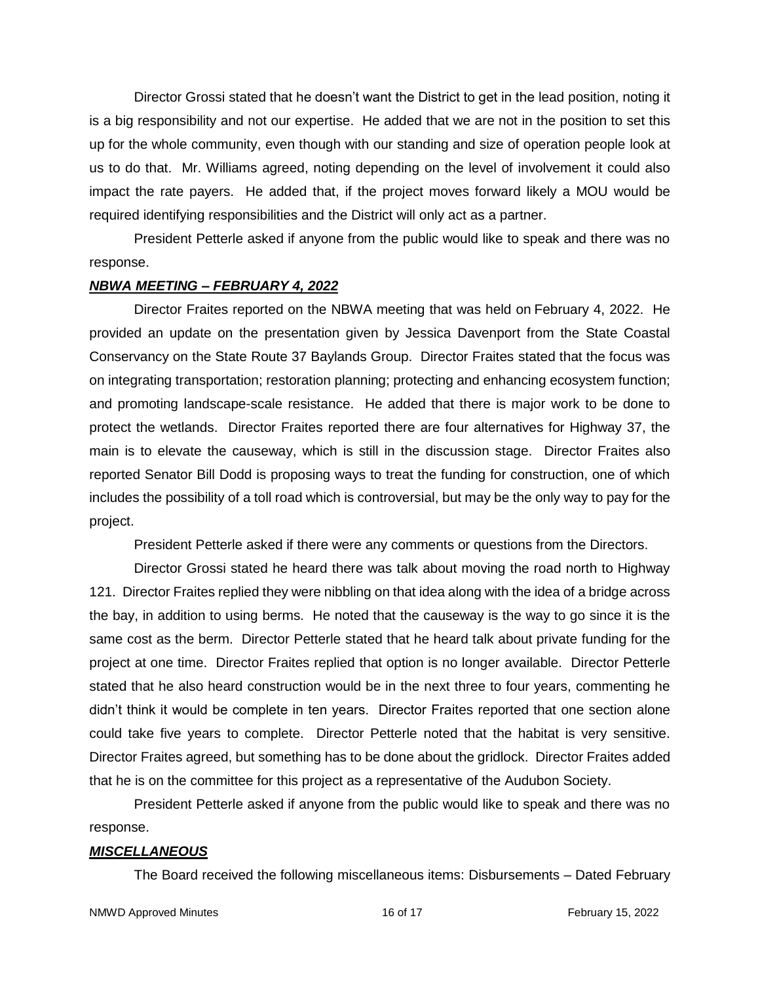Director Grossi stated that he doesn't want the District to get in the lead position, noting it is a big responsibility and not our expertise. He added that we are not in the position to set this up for the whole community, even though with our standing and size of operation people look at us to do that. Mr. Williams agreed, noting depending on the level of involvement it could also impact the rate payers. He added that, if the project moves forward likely a MOU would be required identifying responsibilities and the District will only act as a partner.

President Petterle asked if anyone from the public would like to speak and there was no response.

### *NBWA MEETING – FEBRUARY 4, 2022*

Director Fraites reported on the NBWA meeting that was held on February 4, 2022. He provided an update on the presentation given by Jessica Davenport from the State Coastal Conservancy on the State Route 37 Baylands Group. Director Fraites stated that the focus was on integrating transportation; restoration planning; protecting and enhancing ecosystem function; and promoting landscape-scale resistance. He added that there is major work to be done to protect the wetlands. Director Fraites reported there are four alternatives for Highway 37, the main is to elevate the causeway, which is still in the discussion stage. Director Fraites also reported Senator Bill Dodd is proposing ways to treat the funding for construction, one of which includes the possibility of a toll road which is controversial, but may be the only way to pay for the project.

President Petterle asked if there were any comments or questions from the Directors.

Director Grossi stated he heard there was talk about moving the road north to Highway 121. Director Fraites replied they were nibbling on that idea along with the idea of a bridge across the bay, in addition to using berms. He noted that the causeway is the way to go since it is the same cost as the berm. Director Petterle stated that he heard talk about private funding for the project at one time. Director Fraites replied that option is no longer available. Director Petterle stated that he also heard construction would be in the next three to four years, commenting he didn't think it would be complete in ten years. Director Fraites reported that one section alone could take five years to complete. Director Petterle noted that the habitat is very sensitive. Director Fraites agreed, but something has to be done about the gridlock. Director Fraites added that he is on the committee for this project as a representative of the Audubon Society.

President Petterle asked if anyone from the public would like to speak and there was no response.

#### *MISCELLANEOUS*

The Board received the following miscellaneous items: Disbursements – Dated February

NMWD Approved Minutes **16 of 17** The Separate 16 of 17 The Separate 16 of 17 The Separate 15, 2022